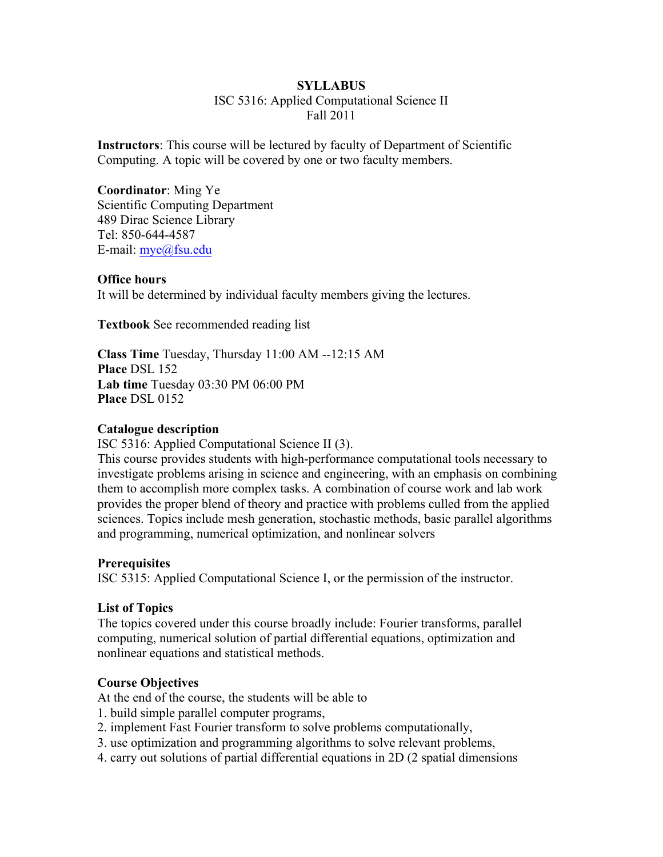#### **SYLLABUS**

ISC 5316: Applied Computational Science II Fall 2011

**Instructors**: This course will be lectured by faculty of Department of Scientific Computing. A topic will be covered by one or two faculty members.

**Coordinator**: Ming Ye Scientific Computing Department 489 Dirac Science Library Tel: 850-644-4587 E-mail: mye@fsu.edu

#### **Office hours**

It will be determined by individual faculty members giving the lectures.

**Textbook** See recommended reading list

**Class Time** Tuesday, Thursday 11:00 AM --12:15 AM **Place** DSL 152 **Lab time** Tuesday 03:30 PM 06:00 PM **Place** DSL 0152

#### **Catalogue description**

ISC 5316: Applied Computational Science II (3).

This course provides students with high-performance computational tools necessary to investigate problems arising in science and engineering, with an emphasis on combining them to accomplish more complex tasks. A combination of course work and lab work provides the proper blend of theory and practice with problems culled from the applied sciences. Topics include mesh generation, stochastic methods, basic parallel algorithms and programming, numerical optimization, and nonlinear solvers

#### **Prerequisites**

ISC 5315: Applied Computational Science I, or the permission of the instructor.

#### **List of Topics**

The topics covered under this course broadly include: Fourier transforms, parallel computing, numerical solution of partial differential equations, optimization and nonlinear equations and statistical methods.

#### **Course Objectives**

At the end of the course, the students will be able to

- 1. build simple parallel computer programs,
- 2. implement Fast Fourier transform to solve problems computationally,
- 3. use optimization and programming algorithms to solve relevant problems,
- 4. carry out solutions of partial differential equations in 2D (2 spatial dimensions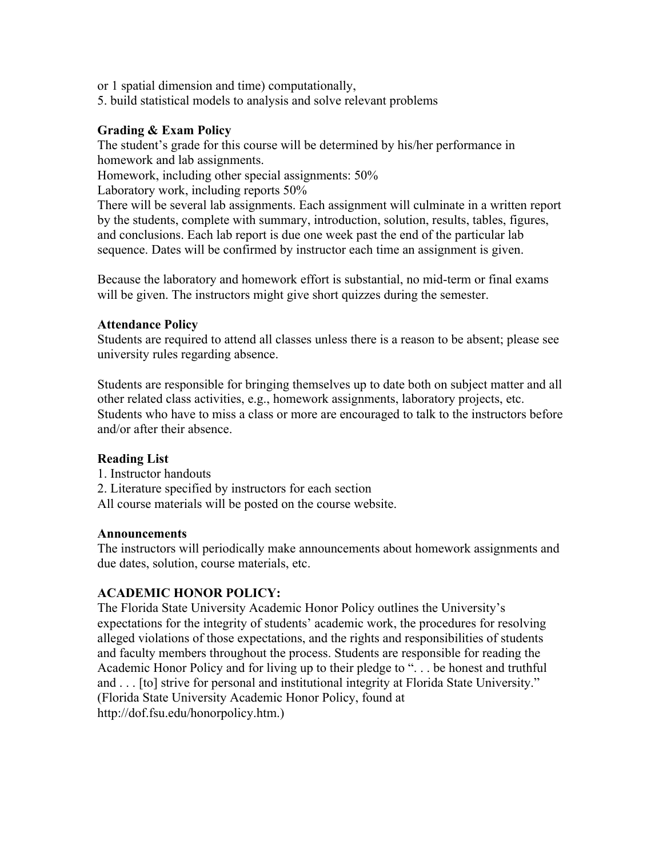or 1 spatial dimension and time) computationally,

5. build statistical models to analysis and solve relevant problems

## **Grading & Exam Policy**

The student's grade for this course will be determined by his/her performance in homework and lab assignments.

Homework, including other special assignments: 50%

Laboratory work, including reports 50%

There will be several lab assignments. Each assignment will culminate in a written report by the students, complete with summary, introduction, solution, results, tables, figures, and conclusions. Each lab report is due one week past the end of the particular lab sequence. Dates will be confirmed by instructor each time an assignment is given.

Because the laboratory and homework effort is substantial, no mid-term or final exams will be given. The instructors might give short quizzes during the semester.

### **Attendance Policy**

Students are required to attend all classes unless there is a reason to be absent; please see university rules regarding absence.

Students are responsible for bringing themselves up to date both on subject matter and all other related class activities, e.g., homework assignments, laboratory projects, etc. Students who have to miss a class or more are encouraged to talk to the instructors before and/or after their absence.

### **Reading List**

- 1. Instructor handouts
- 2. Literature specified by instructors for each section
- All course materials will be posted on the course website.

### **Announcements**

The instructors will periodically make announcements about homework assignments and due dates, solution, course materials, etc.

### **ACADEMIC HONOR POLICY:**

The Florida State University Academic Honor Policy outlines the University's expectations for the integrity of students' academic work, the procedures for resolving alleged violations of those expectations, and the rights and responsibilities of students and faculty members throughout the process. Students are responsible for reading the Academic Honor Policy and for living up to their pledge to ". . . be honest and truthful and . . . [to] strive for personal and institutional integrity at Florida State University." (Florida State University Academic Honor Policy, found at http://dof.fsu.edu/honorpolicy.htm.)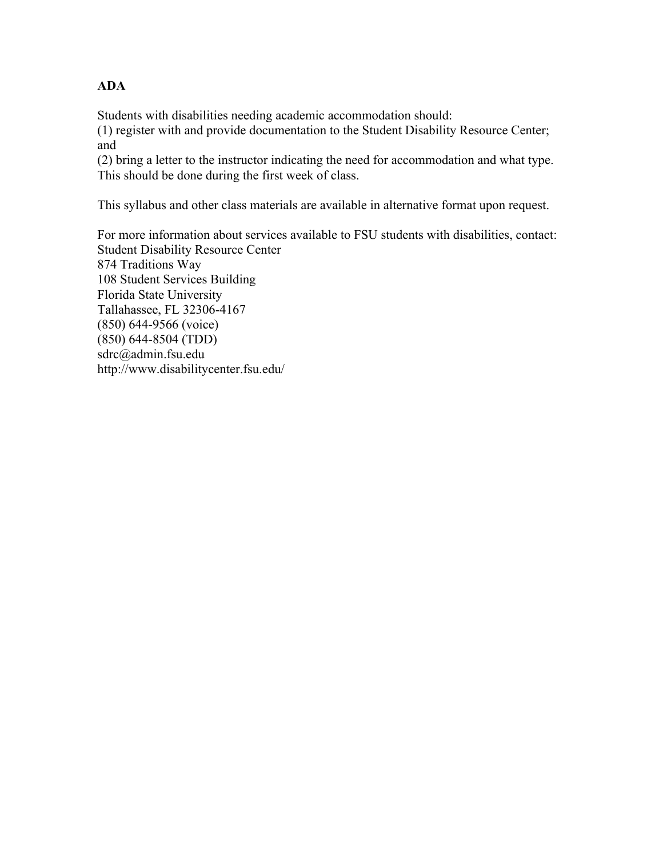## **ADA**

Students with disabilities needing academic accommodation should:

(1) register with and provide documentation to the Student Disability Resource Center; and

(2) bring a letter to the instructor indicating the need for accommodation and what type. This should be done during the first week of class.

This syllabus and other class materials are available in alternative format upon request.

For more information about services available to FSU students with disabilities, contact: Student Disability Resource Center 874 Traditions Way 108 Student Services Building Florida State University Tallahassee, FL 32306-4167 (850) 644-9566 (voice) (850) 644-8504 (TDD) sdrc@admin.fsu.edu http://www.disabilitycenter.fsu.edu/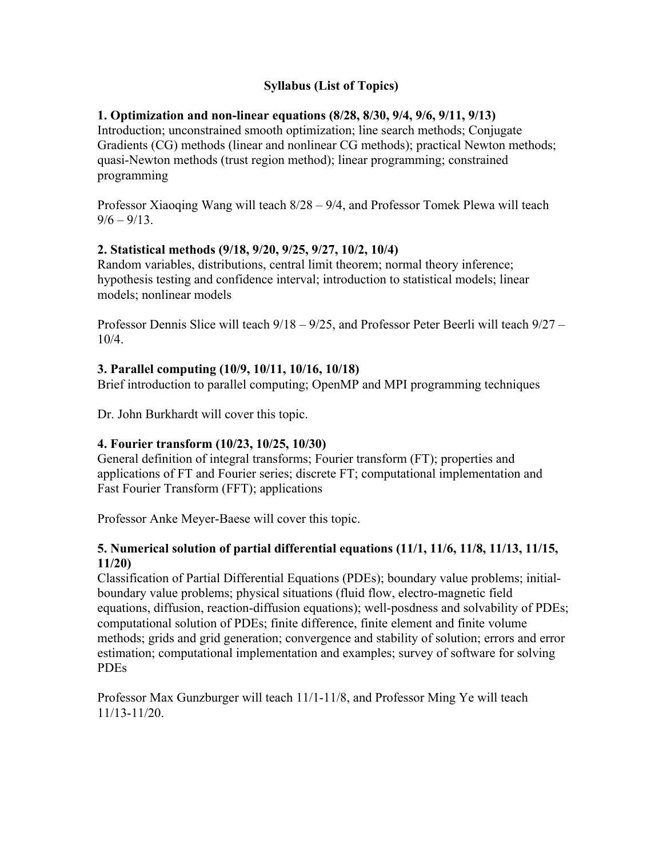# **Syllabus (List of Topics)**

### **1. Optimization and non-linear equations (8/28, 8/30, 9/4, 9/6, 9/11, 9/13)**

Introduction; unconstrained smooth optimization; line search methods; Conjugate Gradients (CG) methods (linear and nonlinear CG methods); practical Newton methods; quasi-Newton methods (trust region method); linear programming; constrained programming

Professor Xiaoqing Wang will teach 8/28 – 9/4, and Professor Tomek Plewa will teach  $9/6 - 9/13$ .

#### **2. Statistical methods (9/18, 9/20, 9/25, 9/27, 10/2, 10/4)**

Random variables, distributions, central limit theorem; normal theory inference; hypothesis testing and confidence interval; introduction to statistical models; linear models; nonlinear models

Professor Dennis Slice will teach 9/18 – 9/25, and Professor Peter Beerli will teach 9/27 – 10/4.

#### **3. Parallel computing (10/9, 10/11, 10/16, 10/18)**

Brief introduction to parallel computing; OpenMP and MPI programming techniques

Dr. John Burkhardt will cover this topic.

### **4. Fourier transform (10/23, 10/25, 10/30)**

General definition of integral transforms; Fourier transform (FT); properties and applications of FT and Fourier series; discrete FT; computational implementation and Fast Fourier Transform (FFT); applications

Professor Anke Meyer-Baese will cover this topic.

#### **5. Numerical solution of partial differential equations (11/1, 11/6, 11/8, 11/13, 11/15, 11/20)**

Classification of Partial Differential Equations (PDEs); boundary value problems; initialboundary value problems; physical situations (fluid flow, electro-magnetic field equations, diffusion, reaction-diffusion equations); well-posdness and solvability of PDEs; computational solution of PDEs; finite difference, finite element and finite volume methods; grids and grid generation; convergence and stability of solution; errors and error estimation; computational implementation and examples; survey of software for solving PDEs

Professor Max Gunzburger will teach 11/1-11/8, and Professor Ming Ye will teach 11/13-11/20.